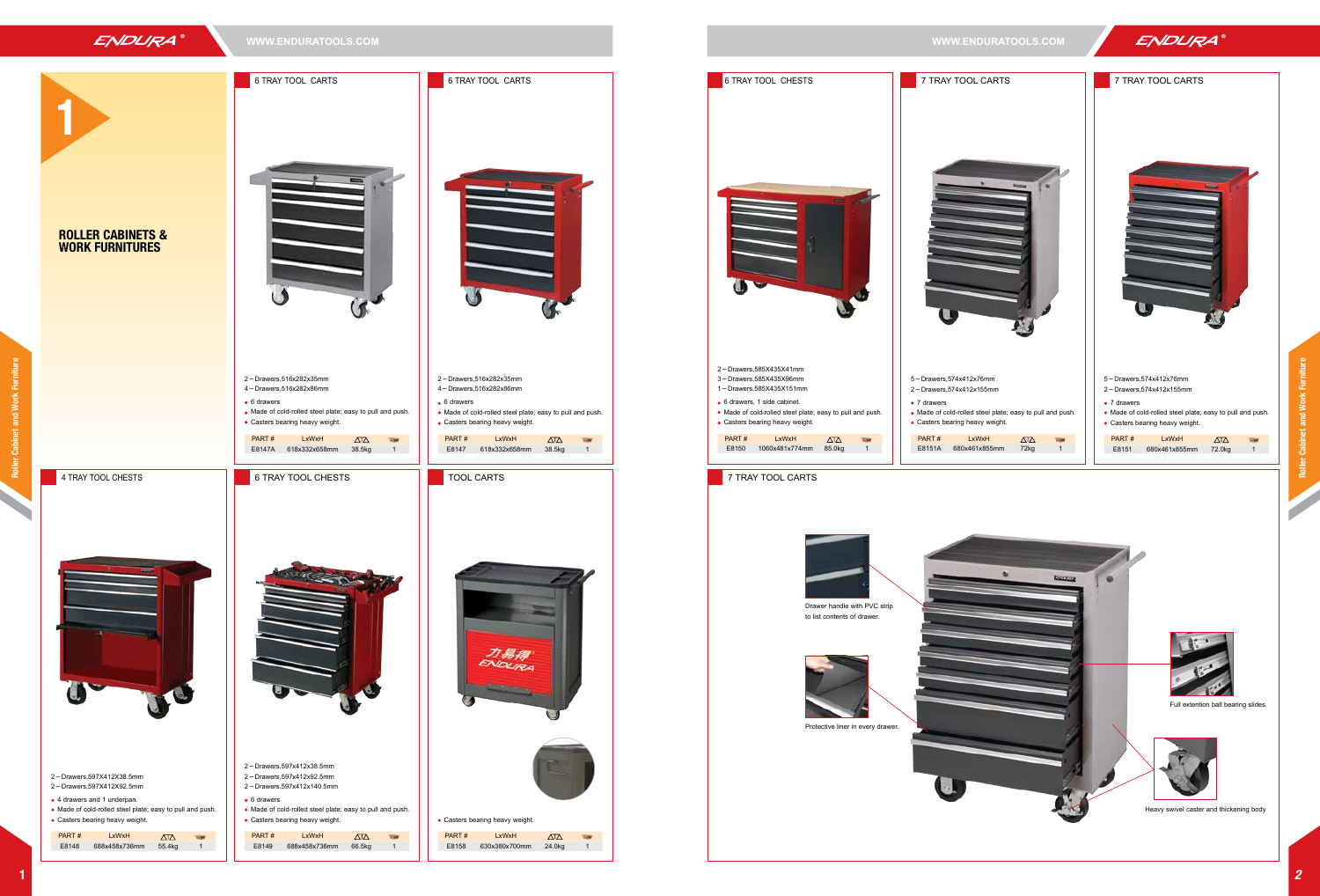Roller Cabinet and Work Furniture

net and Work



 $\Delta T \Delta$ 

力易得 ENDURA

 $\Delta$ 

 $\overline{\mathbf{u}}$ 

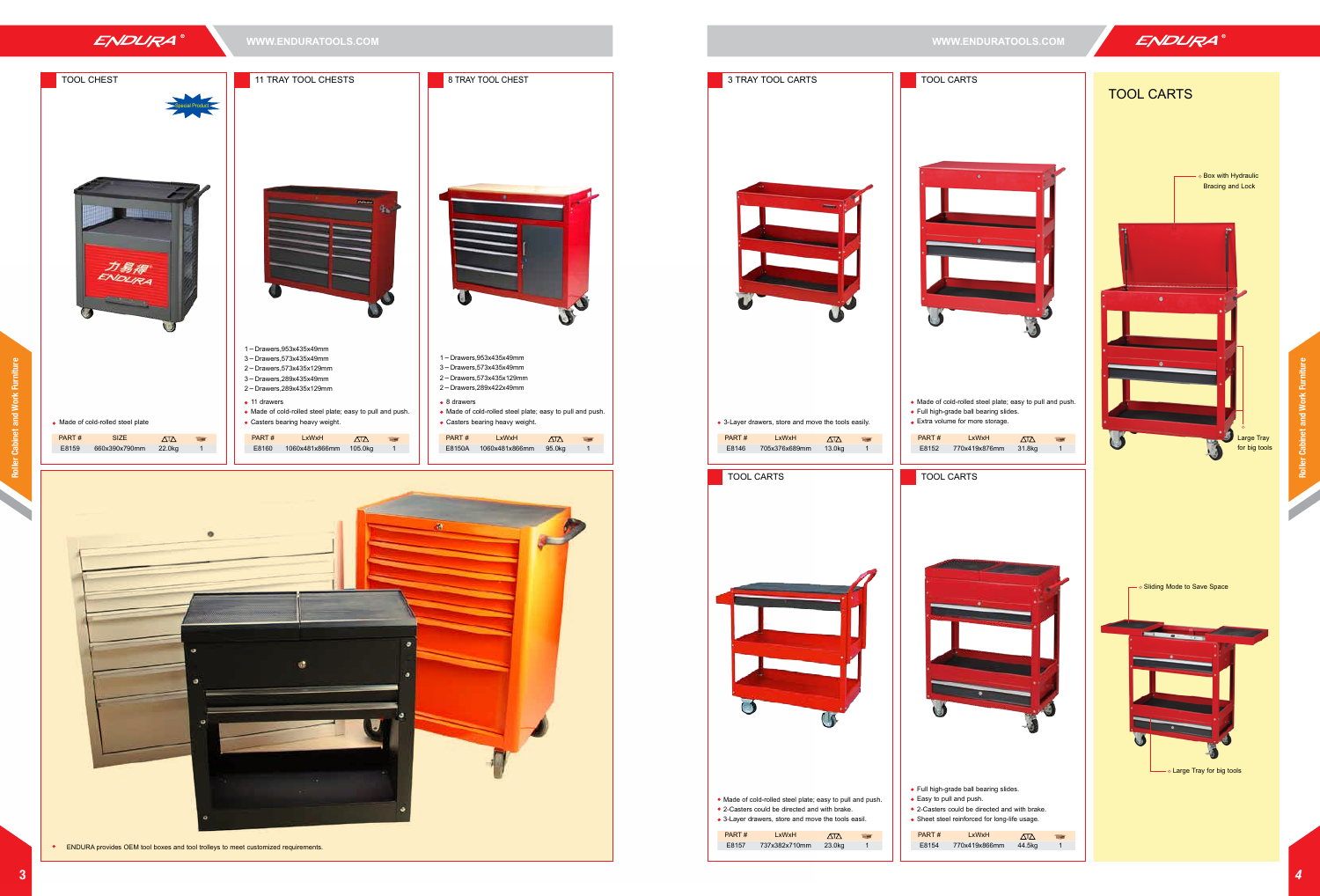刀易祿 ENDURA



1-Drawers,953x435x49mm 3-Drawers,573x435x49mm 2-Drawers,573x435x129mm

1-Drawers,953x435x49mm 3-Drawers,573x435x49mm









Special Product

ENDURA provides OEM tool boxes and tool trolleys to meet customized requirements.



|    | $\sqrt{2}$ |  |
|----|------------|--|
| ım | 31.8kg     |  |
|    |            |  |